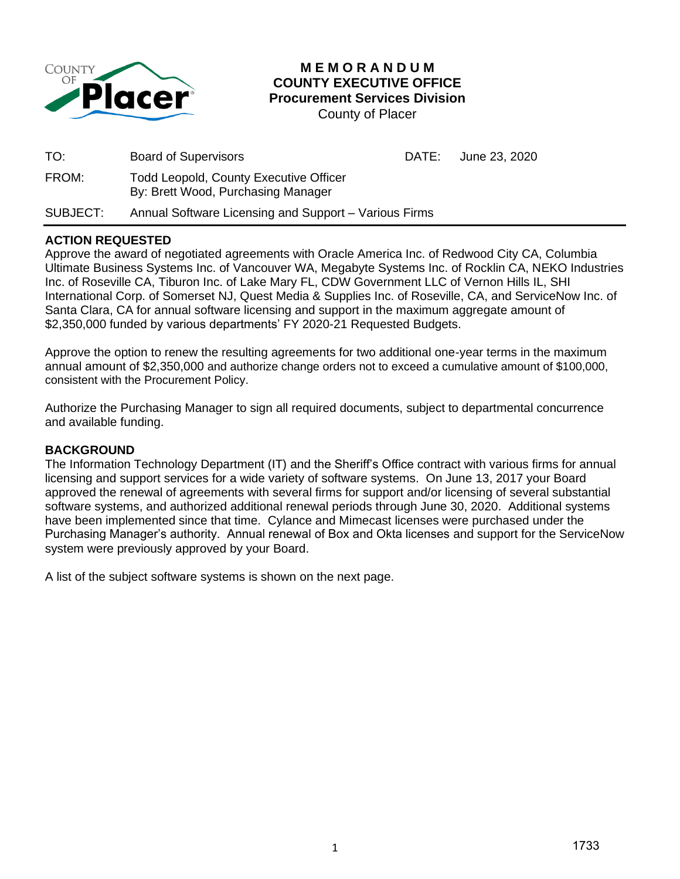

# **M E M O R A N D U M COUNTY EXECUTIVE OFFICE Procurement Services Division**

County of Placer

| TO:      | <b>Board of Supervisors</b>                                                         | DATE: | June 23, 2020 |
|----------|-------------------------------------------------------------------------------------|-------|---------------|
| FROM:    | <b>Todd Leopold, County Executive Officer</b><br>By: Brett Wood, Purchasing Manager |       |               |
| SUBJECT: | Annual Software Licensing and Support - Various Firms                               |       |               |

# **ACTION REQUESTED**

Approve the award of negotiated agreements with Oracle America Inc. of Redwood City CA, Columbia Ultimate Business Systems Inc. of Vancouver WA, Megabyte Systems Inc. of Rocklin CA, NEKO Industries Inc. of Roseville CA, Tiburon Inc. of Lake Mary FL, CDW Government LLC of Vernon Hills IL, SHI International Corp. of Somerset NJ, Quest Media & Supplies Inc. of Roseville, CA, and ServiceNow Inc. of Santa Clara, CA for annual software licensing and support in the maximum aggregate amount of \$2,350,000 funded by various departments' FY 2020-21 Requested Budgets.

Approve the option to renew the resulting agreements for two additional one-year terms in the maximum annual amount of \$2,350,000 and authorize change orders not to exceed a cumulative amount of \$100,000, consistent with the Procurement Policy.

Authorize the Purchasing Manager to sign all required documents, subject to departmental concurrence and available funding.

# **BACKGROUND**

The Information Technology Department (IT) and the Sheriff's Office contract with various firms for annual licensing and support services for a wide variety of software systems. On June 13, 2017 your Board approved the renewal of agreements with several firms for support and/or licensing of several substantial software systems, and authorized additional renewal periods through June 30, 2020. Additional systems have been implemented since that time. Cylance and Mimecast licenses were purchased under the Purchasing Manager's authority. Annual renewal of Box and Okta licenses and support for the ServiceNow system were previously approved by your Board.

A list of the subject software systems is shown on the next page.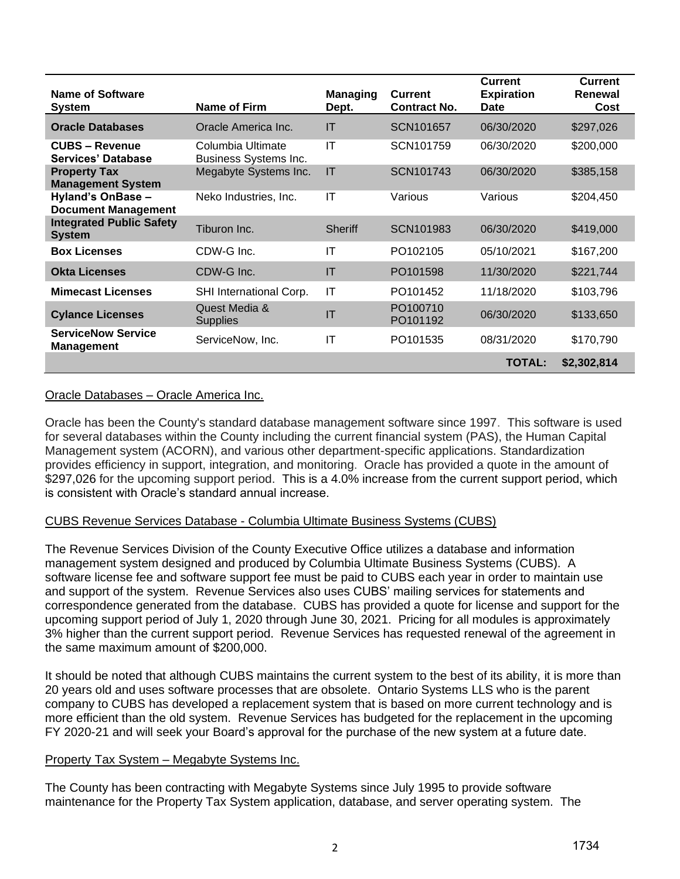| Name of Software<br><b>System</b>                | Name of Firm                               | <b>Managing</b><br>Dept. | <b>Current</b><br><b>Contract No.</b> | <b>Current</b><br><b>Expiration</b><br><b>Date</b> | <b>Current</b><br>Renewal<br>Cost |
|--------------------------------------------------|--------------------------------------------|--------------------------|---------------------------------------|----------------------------------------------------|-----------------------------------|
| <b>Oracle Databases</b>                          | Oracle America Inc.                        | IT                       | SCN101657                             | 06/30/2020                                         | \$297,026                         |
| <b>CUBS - Revenue</b><br>Services' Database      | Columbia Ultimate<br>Business Systems Inc. | IT                       | SCN101759                             | 06/30/2020                                         | \$200,000                         |
| <b>Property Tax</b><br><b>Management System</b>  | Megabyte Systems Inc.                      | IT                       | SCN101743                             | 06/30/2020                                         | \$385,158                         |
| Hyland's OnBase -<br><b>Document Management</b>  | Neko Industries, Inc.                      | IT                       | Various                               | Various                                            | \$204,450                         |
| <b>Integrated Public Safety</b><br><b>System</b> | Tiburon Inc.                               | <b>Sheriff</b>           | SCN101983                             | 06/30/2020                                         | \$419,000                         |
| <b>Box Licenses</b>                              | CDW-G Inc.                                 | IT                       | PO102105                              | 05/10/2021                                         | \$167,200                         |
| <b>Okta Licenses</b>                             | CDW-G Inc.                                 | IT                       | PO101598                              | 11/30/2020                                         | \$221,744                         |
| <b>Mimecast Licenses</b>                         | SHI International Corp.                    | IT                       | PO101452                              | 11/18/2020                                         | \$103,796                         |
| <b>Cylance Licenses</b>                          | Quest Media &<br><b>Supplies</b>           | ΙT                       | PO100710<br>PO101192                  | 06/30/2020                                         | \$133,650                         |
| <b>ServiceNow Service</b><br><b>Management</b>   | ServiceNow, Inc.                           | IT                       | PO101535                              | 08/31/2020                                         | \$170,790                         |
|                                                  |                                            |                          |                                       | <b>TOTAL:</b>                                      | \$2,302,814                       |

# Oracle Databases – Oracle America Inc.

Oracle has been the County's standard database management software since 1997. This software is used for several databases within the County including the current financial system (PAS), the Human Capital Management system (ACORN), and various other department-specific applications. Standardization provides efficiency in support, integration, and monitoring. Oracle has provided a quote in the amount of \$297,026 for the upcoming support period. This is a 4.0% increase from the current support period, which is consistent with Oracle's standard annual increase.

# CUBS Revenue Services Database - Columbia Ultimate Business Systems (CUBS)

The Revenue Services Division of the County Executive Office utilizes a database and information management system designed and produced by Columbia Ultimate Business Systems (CUBS). A software license fee and software support fee must be paid to CUBS each year in order to maintain use and support of the system. Revenue Services also uses CUBS' mailing services for statements and correspondence generated from the database. CUBS has provided a quote for license and support for the upcoming support period of July 1, 2020 through June 30, 2021. Pricing for all modules is approximately 3% higher than the current support period. Revenue Services has requested renewal of the agreement in the same maximum amount of \$200,000.

It should be noted that although CUBS maintains the current system to the best of its ability, it is more than 20 years old and uses software processes that are obsolete. Ontario Systems LLS who is the parent company to CUBS has developed a replacement system that is based on more current technology and is more efficient than the old system. Revenue Services has budgeted for the replacement in the upcoming FY 2020-21 and will seek your Board's approval for the purchase of the new system at a future date.

#### Property Tax System – Megabyte Systems Inc.

The County has been contracting with Megabyte Systems since July 1995 to provide software maintenance for the Property Tax System application, database, and server operating system. The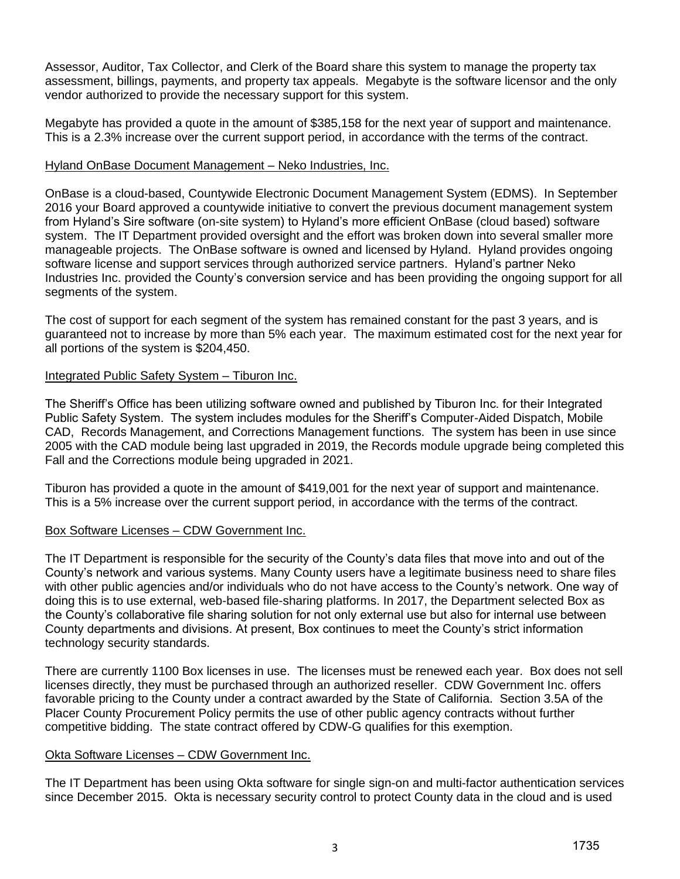Assessor, Auditor, Tax Collector, and Clerk of the Board share this system to manage the property tax assessment, billings, payments, and property tax appeals. Megabyte is the software licensor and the only vendor authorized to provide the necessary support for this system.

Megabyte has provided a quote in the amount of \$385,158 for the next year of support and maintenance. This is a 2.3% increase over the current support period, in accordance with the terms of the contract.

#### Hyland OnBase Document Management – Neko Industries, Inc.

OnBase is a cloud-based, Countywide Electronic Document Management System (EDMS). In September 2016 your Board approved a countywide initiative to convert the previous document management system from Hyland's Sire software (on-site system) to Hyland's more efficient OnBase (cloud based) software system. The IT Department provided oversight and the effort was broken down into several smaller more manageable projects. The OnBase software is owned and licensed by Hyland. Hyland provides ongoing software license and support services through authorized service partners. Hyland's partner Neko Industries Inc. provided the County's conversion service and has been providing the ongoing support for all segments of the system.

The cost of support for each segment of the system has remained constant for the past 3 years, and is guaranteed not to increase by more than 5% each year. The maximum estimated cost for the next year for all portions of the system is \$204,450.

#### Integrated Public Safety System – Tiburon Inc.

The Sheriff's Office has been utilizing software owned and published by Tiburon Inc. for their Integrated Public Safety System. The system includes modules for the Sheriff's Computer-Aided Dispatch, Mobile CAD, Records Management, and Corrections Management functions. The system has been in use since 2005 with the CAD module being last upgraded in 2019, the Records module upgrade being completed this Fall and the Corrections module being upgraded in 2021.

Tiburon has provided a quote in the amount of \$419,001 for the next year of support and maintenance. This is a 5% increase over the current support period, in accordance with the terms of the contract.

# Box Software Licenses – CDW Government Inc.

The IT Department is responsible for the security of the County's data files that move into and out of the County's network and various systems. Many County users have a legitimate business need to share files with other public agencies and/or individuals who do not have access to the County's network. One way of doing this is to use external, web-based file-sharing platforms. In 2017, the Department selected Box as the County's collaborative file sharing solution for not only external use but also for internal use between County departments and divisions. At present, Box continues to meet the County's strict information technology security standards.

There are currently 1100 Box licenses in use. The licenses must be renewed each year. Box does not sell licenses directly, they must be purchased through an authorized reseller. CDW Government Inc. offers favorable pricing to the County under a contract awarded by the State of California. Section 3.5A of the Placer County Procurement Policy permits the use of other public agency contracts without further competitive bidding. The state contract offered by CDW-G qualifies for this exemption.

# Okta Software Licenses – CDW Government Inc.

The IT Department has been using Okta software for single sign-on and multi-factor authentication services since December 2015. Okta is necessary security control to protect County data in the cloud and is used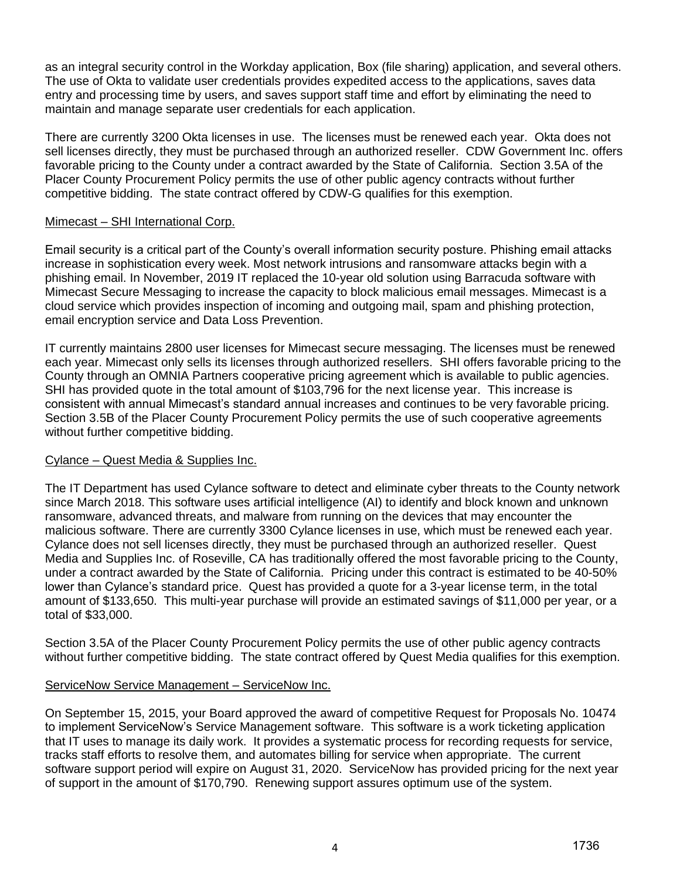as an integral security control in the Workday application, Box (file sharing) application, and several others. The use of Okta to validate user credentials provides expedited access to the applications, saves data entry and processing time by users, and saves support staff time and effort by eliminating the need to maintain and manage separate user credentials for each application.

There are currently 3200 Okta licenses in use. The licenses must be renewed each year. Okta does not sell licenses directly, they must be purchased through an authorized reseller. CDW Government Inc. offers favorable pricing to the County under a contract awarded by the State of California. Section 3.5A of the Placer County Procurement Policy permits the use of other public agency contracts without further competitive bidding. The state contract offered by CDW-G qualifies for this exemption.

#### Mimecast – SHI International Corp.

Email security is a critical part of the County's overall information security posture. Phishing email attacks increase in sophistication every week. Most network intrusions and ransomware attacks begin with a phishing email. In November, 2019 IT replaced the 10-year old solution using Barracuda software with Mimecast Secure Messaging to increase the capacity to block malicious email messages. Mimecast is a cloud service which provides inspection of incoming and outgoing mail, spam and phishing protection, email encryption service and Data Loss Prevention.

IT currently maintains 2800 user licenses for Mimecast secure messaging. The licenses must be renewed each year. Mimecast only sells its licenses through authorized resellers. SHI offers favorable pricing to the County through an OMNIA Partners cooperative pricing agreement which is available to public agencies. SHI has provided quote in the total amount of \$103,796 for the next license year. This increase is consistent with annual Mimecast's standard annual increases and continues to be very favorable pricing. Section 3.5B of the Placer County Procurement Policy permits the use of such cooperative agreements without further competitive bidding.

# Cylance – Quest Media & Supplies Inc.

The IT Department has used Cylance software to detect and eliminate cyber threats to the County network since March 2018. This software uses artificial intelligence (AI) to identify and block known and unknown ransomware, advanced threats, and malware from running on the devices that may encounter the malicious software. There are currently 3300 Cylance licenses in use, which must be renewed each year. Cylance does not sell licenses directly, they must be purchased through an authorized reseller. Quest Media and Supplies Inc. of Roseville, CA has traditionally offered the most favorable pricing to the County, under a contract awarded by the State of California. Pricing under this contract is estimated to be 40-50% lower than Cylance's standard price. Quest has provided a quote for a 3-year license term, in the total amount of \$133,650. This multi-year purchase will provide an estimated savings of \$11,000 per year, or a total of \$33,000.

Section 3.5A of the Placer County Procurement Policy permits the use of other public agency contracts without further competitive bidding. The state contract offered by Quest Media qualifies for this exemption.

# ServiceNow Service Management – ServiceNow Inc.

On September 15, 2015, your Board approved the award of competitive Request for Proposals No. 10474 to implement ServiceNow's Service Management software. This software is a work ticketing application that IT uses to manage its daily work. It provides a systematic process for recording requests for service, tracks staff efforts to resolve them, and automates billing for service when appropriate. The current software support period will expire on August 31, 2020. ServiceNow has provided pricing for the next year of support in the amount of \$170,790. Renewing support assures optimum use of the system.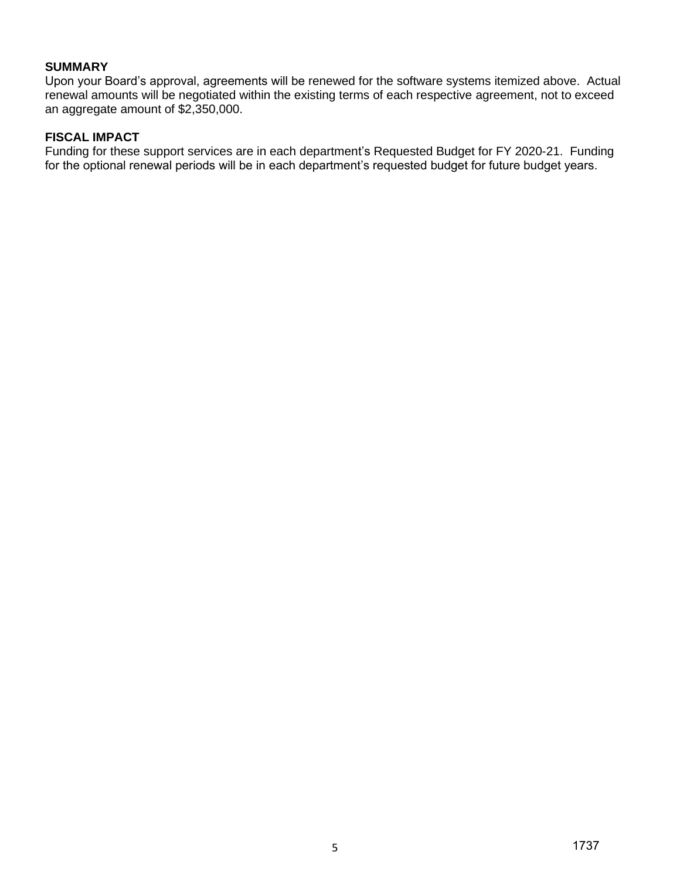#### **SUMMARY**

Upon your Board's approval, agreements will be renewed for the software systems itemized above. Actual renewal amounts will be negotiated within the existing terms of each respective agreement, not to exceed an aggregate amount of \$2,350,000.

#### **FISCAL IMPACT**

Funding for these support services are in each department's Requested Budget for FY 2020-21. Funding for the optional renewal periods will be in each department's requested budget for future budget years.